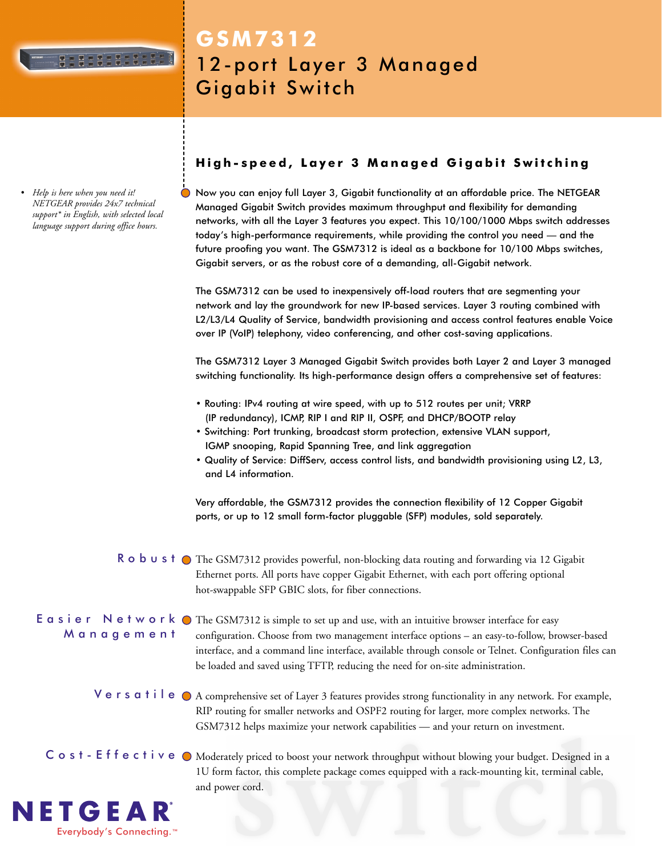

**GSM7312**

Gigabit Switch

*• Help is here when you need it! NETGEAR provides 24x7 technical support\* in English, with selected local language support during office hours.*

# **High-speed, Layer 3 Managed Gigabit Switching**

12-port Layer 3 Managed

Now you can enjoy full Layer 3, Gigabit functionality at an affordable price. The NETGEAR Managed Gigabit Switch provides maximum throughput and flexibility for demanding networks, with all the Layer 3 features you expect. This 10/100/1000 Mbps switch addresses today's high-performance requirements, while providing the control you need — and the future proofing you want. The GSM7312 is ideal as a backbone for 10/100 Mbps switches, Gigabit servers, or as the robust core of a demanding, all-Gigabit network.

The GSM7312 can be used to inexpensively off-load routers that are segmenting your network and lay the groundwork for new IP-based services. Layer 3 routing combined with L2/L3/L4 Quality of Service, bandwidth provisioning and access control features enable Voice over IP (VoIP) telephony, video conferencing, and other cost-saving applications.

The GSM7312 Layer 3 Managed Gigabit Switch provides both Layer 2 and Layer 3 managed switching functionality. Its high-performance design offers a comprehensive set of features:

- Routing: IPv4 routing at wire speed, with up to 512 routes per unit; VRRP (IP redundancy), ICMP, RIP I and RIP II, OSPF, and DHCP/BOOTP relay
- Switching: Port trunking, broadcast storm protection, extensive VLAN support, IGMP snooping, Rapid Spanning Tree, and link aggregation
- Quality of Service: DiffServ, access control lists, and bandwidth provisioning using L2, L3, and L4 information.

Very affordable, the GSM7312 provides the connection flexibility of 12 Copper Gigabit ports, or up to 12 small form-factor pluggable (SFP) modules, sold separately.

# R  $\circ$  b  $\cup$  s t  $\circ$  The GSM7312 provides powerful, non-blocking data routing and forwarding via 12 Gigabit Ethernet ports. All ports have copper Gigabit Ethernet, with each port offering optional hot-swappable SFP GBIC slots, for fiber connections.

Management

E  $\alpha$  s i  $e \rvert r$  N  $e \rvert t$  w  $\alpha$   $r \rvert k$   $\bigcirc$  The GSM7312 is simple to set up and use, with an intuitive browser interface for easy configuration. Choose from two management interface options – an easy-to-follow, browser-based interface, and a command line interface, available through console or Telnet. Configuration files can be loaded and saved using TFTP, reducing the need for on-site administration.

Versatile  $\bullet$  A comprehensive set of Layer 3 features provides strong functionality in any network. For example, RIP routing for smaller networks and OSPF2 routing for larger, more complex networks. The GSM7312 helps maximize your network capabilities — and your return on investment.

C os t - E f f e c t i v e  $\odot$  Moderately priced to boost your network throughput without blowing your budget. Designed in a 1U form factor, this complete package comes equipped with a rack-mounting kit, terminal cable, and power cord.